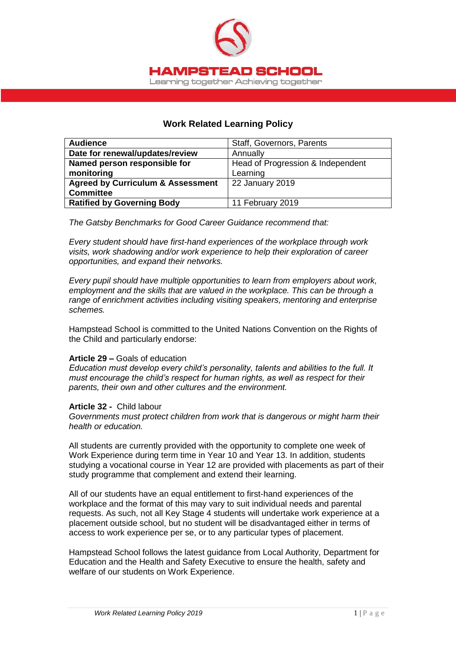

## **Work Related Learning Policy**

| <b>Audience</b>                              | Staff, Governors, Parents         |
|----------------------------------------------|-----------------------------------|
| Date for renewal/updates/review              | Annually                          |
| Named person responsible for                 | Head of Progression & Independent |
| monitoring                                   | Learning                          |
| <b>Agreed by Curriculum &amp; Assessment</b> | 22 January 2019                   |
| <b>Committee</b>                             |                                   |
| <b>Ratified by Governing Body</b>            | 11 February 2019                  |

*The Gatsby Benchmarks for Good Career Guidance recommend that:*

*Every student should have first-hand experiences of the workplace through work visits, work shadowing and/or work experience to help their exploration of career opportunities, and expand their networks.* 

*Every pupil should have multiple opportunities to learn from employers about work, employment and the skills that are valued in the workplace. This can be through a range of enrichment activities including visiting speakers, mentoring and enterprise schemes.*

Hampstead School is committed to the United Nations Convention on the Rights of the Child and particularly endorse:

## **Article 29 –** Goals of education

*Education must develop every child's personality, talents and abilities to the full. It must encourage the child's respect for human rights, as well as respect for their parents, their own and other cultures and the environment.*

## **Article 32 -** Child labour

*Governments must protect children from work that is dangerous or might harm their health or education.*

All students are currently provided with the opportunity to complete one week of Work Experience during term time in Year 10 and Year 13. In addition, students studying a vocational course in Year 12 are provided with placements as part of their study programme that complement and extend their learning.

All of our students have an equal entitlement to first-hand experiences of the workplace and the format of this may vary to suit individual needs and parental requests. As such, not all Key Stage 4 students will undertake work experience at a placement outside school, but no student will be disadvantaged either in terms of access to work experience per se, or to any particular types of placement.

Hampstead School follows the latest guidance from Local Authority, Department for Education and the Health and Safety Executive to ensure the health, safety and welfare of our students on Work Experience.